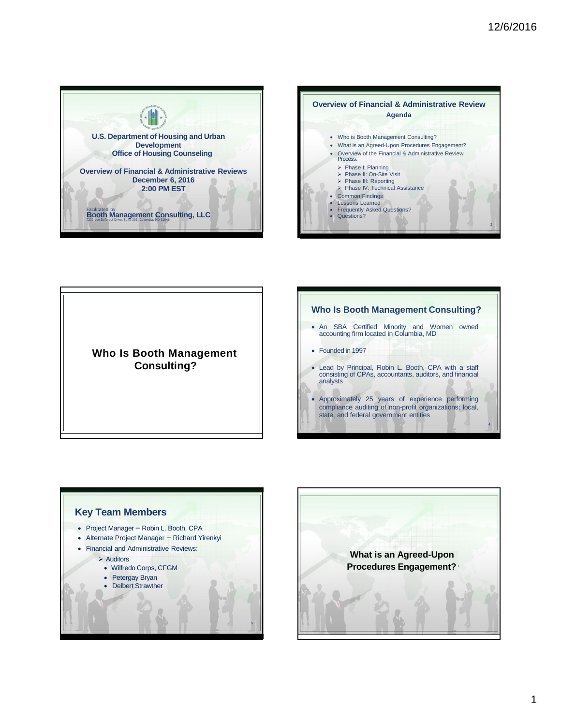



**Who Is Booth Management Consulting?** 

# **Who Is Booth Management Consulting?**  • An SBA Certified Minority and Women owned accounting firm located in Columbia, MD • Founded in 1997 • Lead by Principal, Robin L. Booth, CPA with a staff consisting of CPAs, accountants, auditors, and financial analysts • Approximately 25 years of experience performing compliance auditing of non-profit organizations; local, state, and federal government entities **4**



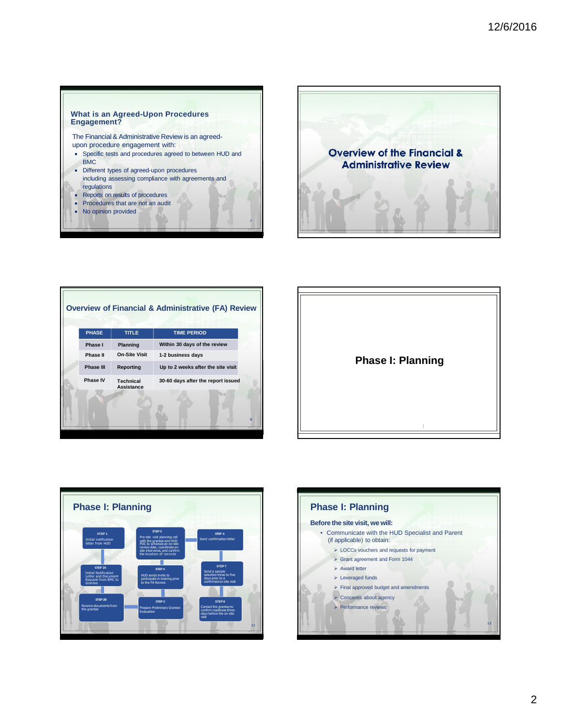#### **What is an Agreed-Upon Procedures Engagement?**

The Financial & Administrative Review is an agreedupon procedure engagement with:

- Specific tests and procedures agreed to between HUD and BMC
- Different types of agreed-upon procedures including assessing compliance with agreements and regulations
- Reports on results of procedures
- Procedures that are not an audit
- No opinion provided



| <b>PHASE</b> | <b>TITLE</b>                          | <b>TIME PERIOD</b>                 |
|--------------|---------------------------------------|------------------------------------|
| Phase I      | Planning                              | Within 30 days of the review       |
| Phase II     | <b>On-Site Visit</b>                  | 1-2 business days                  |
| Phase III    | Reporting                             | Up to 2 weeks after the site visit |
| Phase IV     | <b>Technical</b><br><b>Assistance</b> | 30-60 days after the report issued |
|              |                                       |                                    |





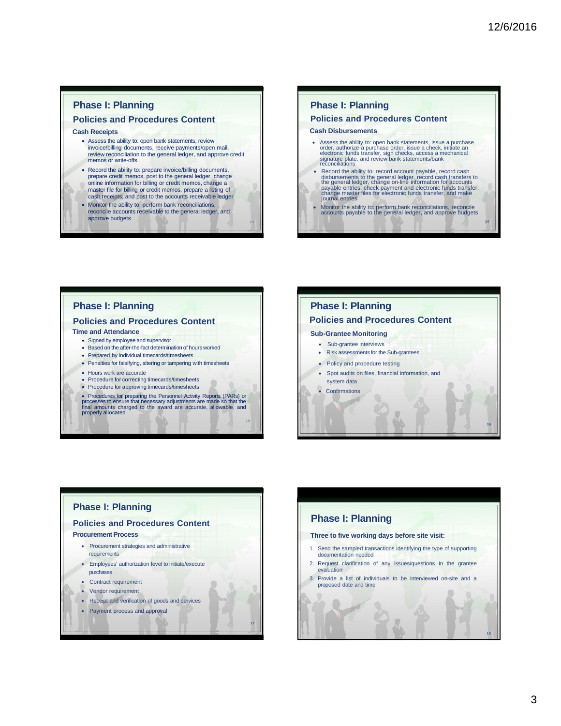**14** 

**16** 

**19**

## **Phase I: Planning**

### **Policies and Procedures Content**

#### **Cash Receipts**

- Assess the ability to: open bank statements, review invoice/billing documents, receive payments/open mail, review reconciliation to the general ledger, and approve credit memos or write-offs • Record the ability to: prepare invoice/billing documents,
- prepare credit memos, post to the general ledger, change online information for billing or credit memos, change a master file for billing or credit memos, prepare a listing of cash receipts, and post to the accounts receivable ledger
- Monitor the ability to: perform bank reconciliations, reconcile accounts receivable to the general ledger, and approve budgets

13

15

**17**

## **Phase I: Planning**

## **Policies and Procedures Content**

#### **Cash Disbursements**

- Assess the ability to: open bank statements, issue a purchase<br>order, authorize a purchase order, issue a check, initiate an<br>electronic funds transfer, sign checks, access a mechanical<br>signature plate, and review bank sta
- Record the ability to: record account payable, record cash<br>disbursements to the general ledger, record cash transfers to<br>the general ledger, change on-line information for accounts<br>payable entries, check payment and elec
- Monitor the ability to: perform bank reconciliations, reconcile accounts payable to the general ledger, and approve budgets

## **Phase I: Planning**

#### **Policies and Procedures Content Time and Attendance**

- 
- Signed by employee and supervisor • Based on the after-the-fact determination of hours worked
- Prepared by individual timecards/timesheets
- Penalties for falsifying, altering or tampering with timesheets
- Hours work are accurate
- Procedure for correcting timecards/timesheets
- Procedure for approving timecards/timesheets
- Procedures for preparing the Personnel Activity Reports (PARs) or processes to ensure that necessary adjustments are made so that the final amounts charged to the award are accurate, allowable, and properly allocated

## **Phase I: Planning Policies and Procedures Content Sub-Grantee Monitoring**  • Sub-grantee interviews • Risk assessments for the Sub-grantees • Policy and procedure testing • Spot audits on files, financial information, and system data • Confirmations

## **Phase I: Planning**

#### **Policies and Procedures Content**

#### **Procurement Process**

- Procurement strategies and administrative requirements
- Employees' authorization level to initiate/execute purchases
- Contract requirement
- Vendor requirement
- Receipt and verification of goods and services
- Payment process and approval

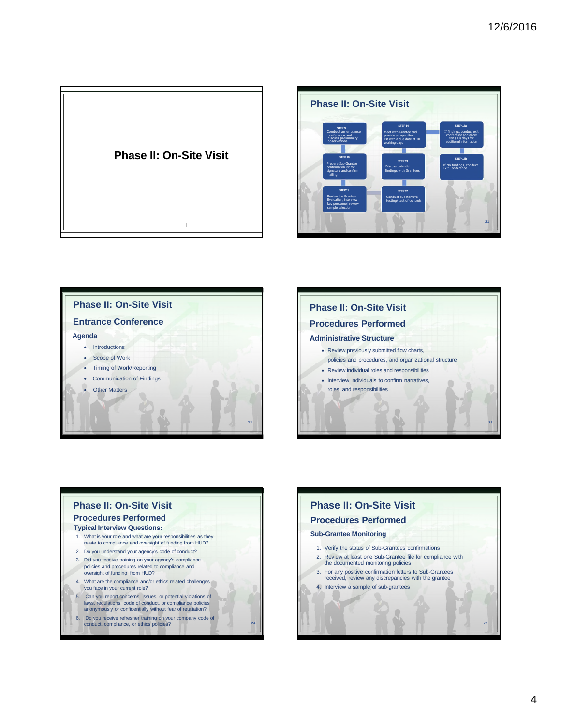









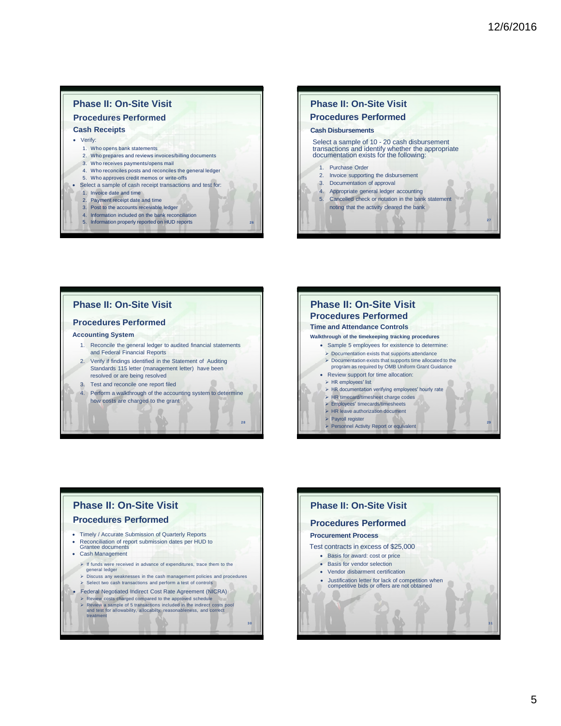#### **Phase II: On-Site Visit Procedures Performed Cash Receipts**  • Verify: 1. Who opens bank statements 2. Who prepares and reviews invoices/billing documents 3. Who receives payments/opens mail 4. Who reconciles posts and reconciles the general ledger 5. Who approves credit memos or write-offs • Select a sample of cash receipt transactions and test for: 1. Invoice date and time 2. Payment receipt date and time 3. Post to the accounts receivable ledger 4. Information included on the bank reconciliation 5. Information properly reported on HUD reports **<sup>26</sup>**



## **Phase II: On-Site Visit**

#### **Procedures Performed**

#### **Accounting System**

1. Reconcile the general ledger to audited financial statements and Federal Financial Reports 2. Verify if findings identified in the Statement of Auditing

**28** 

- Standards 115 letter (management letter) have been resolved or are being resolved
- 3. Test and reconcile one report filed
- 4. Perform a walkthrough of the accounting system to determine how costs are charged to the grant



#### **Phase II: On-Site Visit Procedures Performed**  • Timely / Accurate Submission of Quarterly Reports • Reconciliation of report submission dates per HUD to Grantee documents • Cash Management  $\triangleright$  If funds were received in advance of expenditures, trace them to the general ledger Discuss any weaknesses in the cash management policies and procedures Select two cash transactions and perform a test of controls • Federal Negotiated Indirect Cost Rate Agreement (NICRA) Review costs charged compared to the approved schedule Review a sample of 5 transactions included in the indirect costs pool and test for allowability, allocabilty, reasonableness, and correct treatment **3 0**

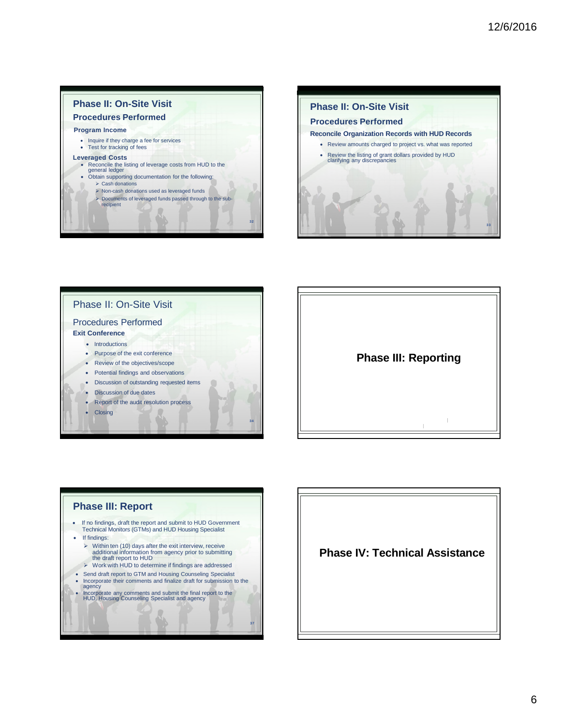









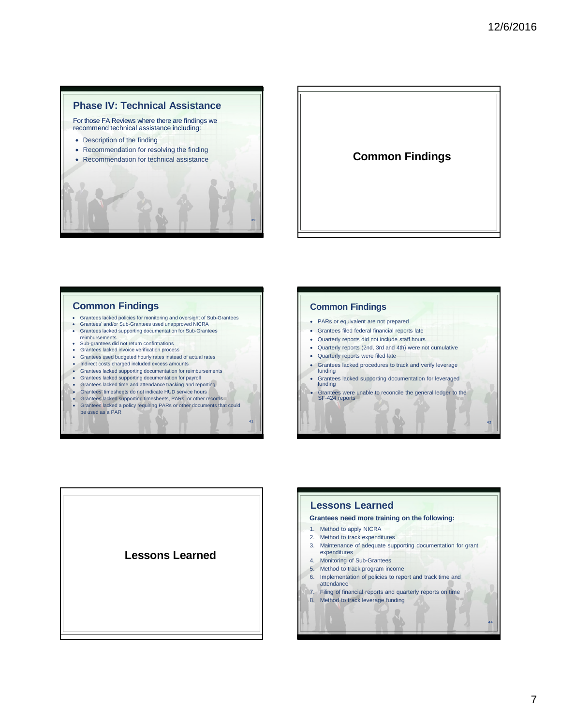



### **Common Findings**

- Grantees lacked policies for monitoring and oversight of Sub-Grantees<br>• Grantees' and/or Sub-Grantees used unapproved NICRA
- Grantees' and/or Sub-Grantees used unapproved NICRA • Grantees lacked supporting documentation for Sub-Grantees
- 
- reimbursements Sub-grantees did not return confirmations
- Grantees lacked invoice verification process • Grantees used budgeted hourly rates instead of actual rates
- Indirect costs charged included excess amounts
- Grantees lacked supporting documentation for reimbursements
- Grantees lacked supporting documentation for payroll
- Grantees lacked time and attendance tracking and reporting
- Grantees' timesheets do not indicate HUD service hours
- Grantees lacked supporting timesheets, PARs, or other records

**41** 

• Grantees lacked a policy requiring PARs or other documents that could be used as a PAR

## **Common Findings**  • PARs or equivalent are not prepared • Grantees filed federal financial reports late • Quarterly reports did not include staff hours • Quarterly reports (2nd, 3rd and 4th) were not cumulative • Quarterly reports were filed late • Grantees lacked procedures to track and verify leverage funding • Grantees lacked supporting documentation for leveraged funding

• Grantees were unable to reconcile the general ledger to the SF-424 reports





**42**